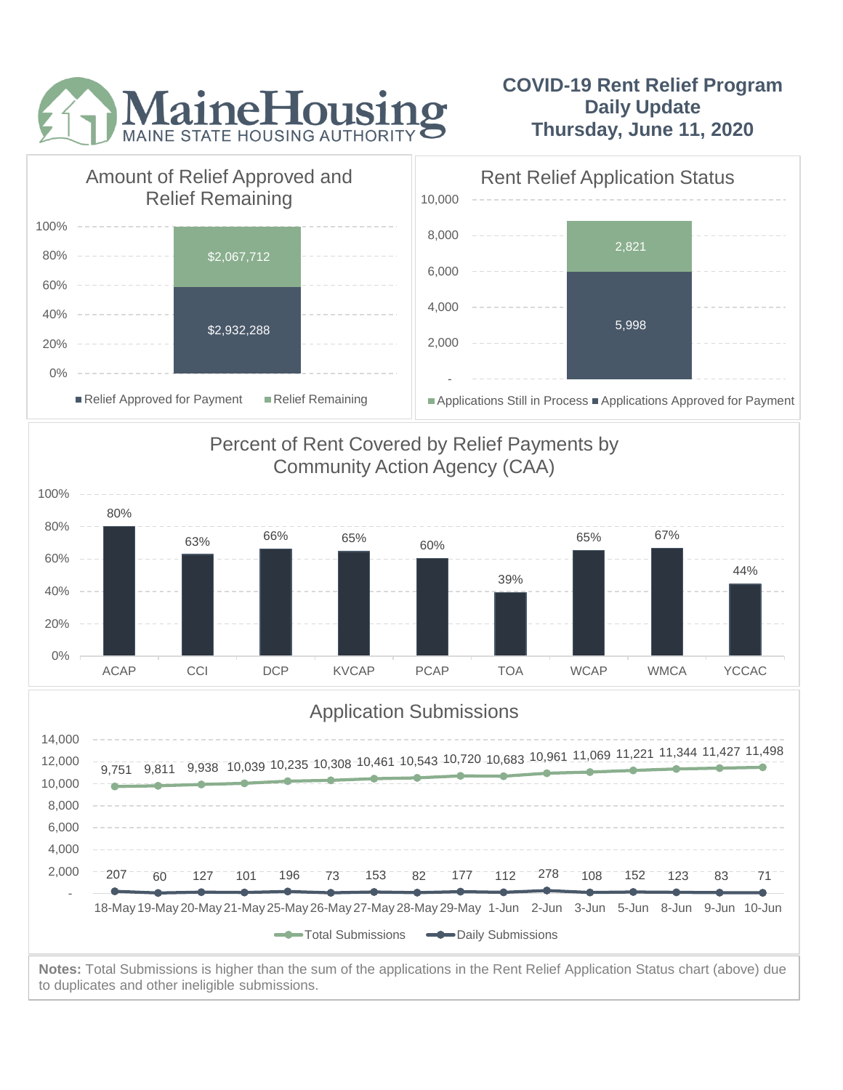

## **COVID-19 Rent Relief Program Daily Update Thursday, June 11, 2020**



to duplicates and other ineligible submissions.